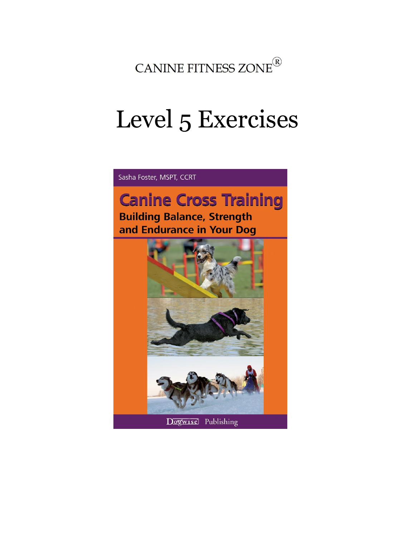

# Level 5 Exercises

Sasha Foster, MSPT, CCRT

## **Canine Cross Training Building Balance, Strength**

and Endurance in Your Dog

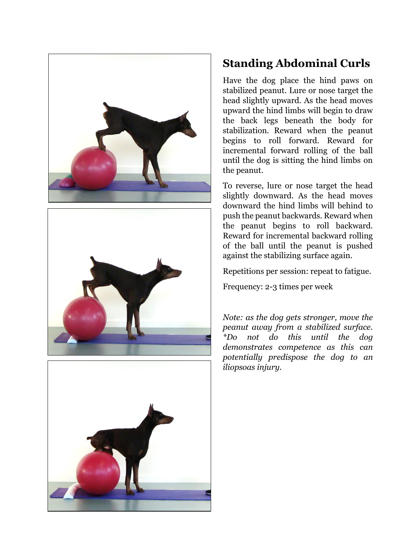





#### **Standing Abdominal Curls**

Have the dog place the hind paws on stabilized peanut. Lure or nose target the head slightly upward. As the head moves upward the hind limbs will begin to draw the back legs beneath the body for stabilization. Reward when the peanut begins to roll forward. Reward for incremental forward rolling of the ball until the dog is sitting the hind limbs on the peanut.

To reverse, lure or nose target the head slightly downward. As the head moves downward the hind limbs will behind to push the peanut backwards. Reward when the peanut begins to roll backward. Reward for incremental backward rolling of the ball until the peanut is pushed against the stabilizing surface again.

Repetitions per session: repeat to fatigue.

Frequency: 2-3 times per week

*Note: as the dog gets stronger, move the peanut away from a stabilized surface. \*Do not do this until the dog demonstrates competence as this can potentially predispose the dog to an iliopsoas injury.*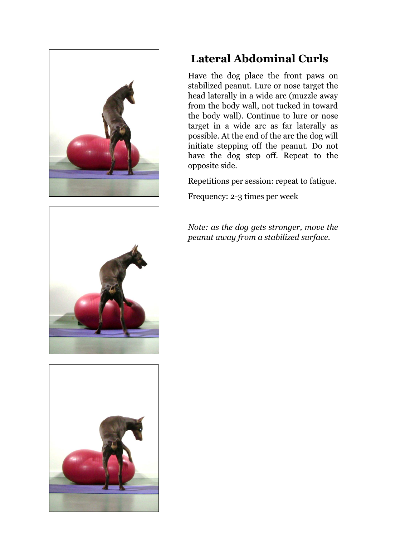





### **Lateral Abdominal Curls**

Have the dog place the front paws on stabilized peanut. Lure or nose target the head laterally in a wide arc (muzzle away from the body wall, not tucked in toward the body wall). Continue to lure or nose target in a wide arc as far laterally as possible. At the end of the arc the dog will initiate stepping off the peanut. Do not have the dog step off. Repeat to the opposite side.

Repetitions per session: repeat to fatigue.

Frequency: 2-3 times per week

*Note: as the dog gets stronger, move the peanut away from a stabilized surface.*